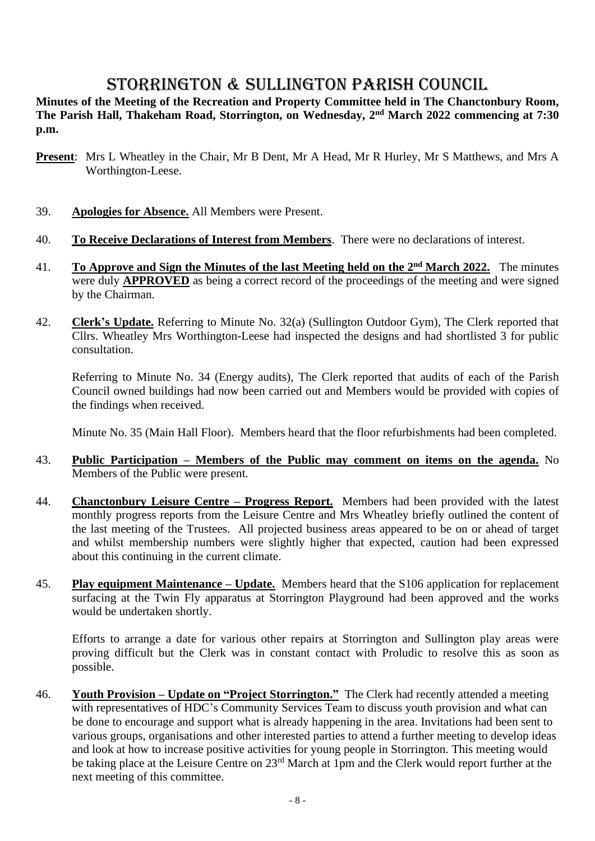## STORRINGTON & SULLINGTON PARISH COUNCIL

**Minutes of the Meeting of the Recreation and Property Committee held in The Chanctonbury Room, The Parish Hall, Thakeham Road, Storrington, on Wednesday, 2 nd March 2022 commencing at 7:30 p.m.**

- **Present**: Mrs L Wheatley in the Chair, Mr B Dent, Mr A Head, Mr R Hurley, Mr S Matthews, and Mrs A Worthington-Leese.
- 39. **Apologies for Absence.** All Members were Present.
- 40. **To Receive Declarations of Interest from Members**. There were no declarations of interest.
- 41. **To Approve and Sign the Minutes of the last Meeting held on the 2<sup>nd</sup> March 2022. The minutes** were duly **APPROVED** as being a correct record of the proceedings of the meeting and were signed by the Chairman.
- 42. **Clerk's Update.** Referring to Minute No. 32(a) (Sullington Outdoor Gym), The Clerk reported that Cllrs. Wheatley Mrs Worthington-Leese had inspected the designs and had shortlisted 3 for public consultation.

Referring to Minute No. 34 (Energy audits), The Clerk reported that audits of each of the Parish Council owned buildings had now been carried out and Members would be provided with copies of the findings when received.

Minute No. 35 (Main Hall Floor). Members heard that the floor refurbishments had been completed.

- 43. **Public Participation – Members of the Public may comment on items on the agenda.** No Members of the Public were present.
- 44. **Chanctonbury Leisure Centre – Progress Report.** Members had been provided with the latest monthly progress reports from the Leisure Centre and Mrs Wheatley briefly outlined the content of the last meeting of the Trustees. All projected business areas appeared to be on or ahead of target and whilst membership numbers were slightly higher that expected, caution had been expressed about this continuing in the current climate.
- 45. **Play equipment Maintenance – Update.** Members heard that the S106 application for replacement surfacing at the Twin Fly apparatus at Storrington Playground had been approved and the works would be undertaken shortly.

Efforts to arrange a date for various other repairs at Storrington and Sullington play areas were proving difficult but the Clerk was in constant contact with Proludic to resolve this as soon as possible.

46. **Youth Provision – Update on "Project Storrington."** The Clerk had recently attended a meeting with representatives of HDC's Community Services Team to discuss youth provision and what can be done to encourage and support what is already happening in the area. Invitations had been sent to various groups, organisations and other interested parties to attend a further meeting to develop ideas and look at how to increase positive activities for young people in Storrington. This meeting would be taking place at the Leisure Centre on 23<sup>rd</sup> March at 1pm and the Clerk would report further at the next meeting of this committee.